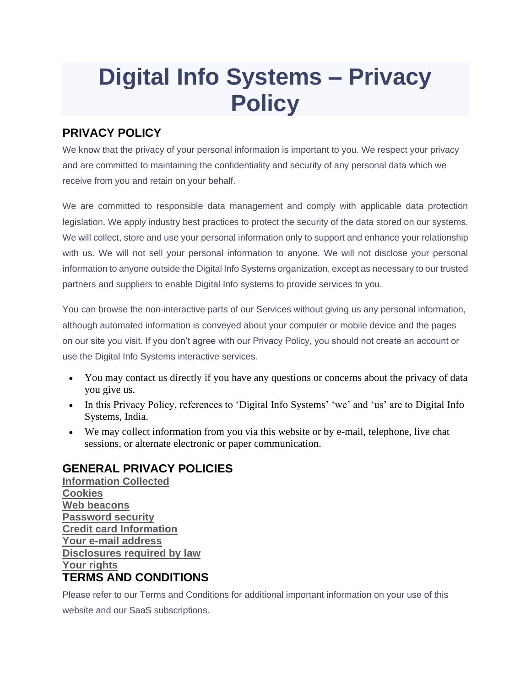## **Digital Info Systems – Privacy Policy**

## **PRIVACY POLICY**

We know that the privacy of your personal information is important to you. We respect your privacy and are committed to maintaining the confidentiality and security of any personal data which we receive from you and retain on your behalf.

We are committed to responsible data management and comply with applicable data protection legislation. We apply industry best practices to protect the security of the data stored on our systems. We will collect, store and use your personal information only to support and enhance your relationship with us. We will not sell your personal information to anyone. We will not disclose your personal information to anyone outside the Digital Info Systems organization, except as necessary to our trusted partners and suppliers to enable Digital Info systems to provide services to you.

You can browse the non-interactive parts of our Services without giving us any personal information, although automated information is conveyed about your computer or mobile device and the pages on our site you visit. If you don't agree with our Privacy Policy, you should not create an account or use the Digital Info Systems interactive services.

- You may contact us directly if you have any questions or concerns about the privacy of data you give us.
- In this Privacy Policy, references to 'Digital Info Systems' 'we' and 'us' are to Digital Info Systems, India.
- We may collect information from you via this website or by e-mail, telephone, live chat sessions, or alternate electronic or paper communication.

## **GENERAL PRIVACY POLICIES**

**[Information Collected](https://www.jazenetworks.com/privacy-policy/) [Cookies](https://www.jazenetworks.com/privacy-policy/) [Web beacons](https://www.jazenetworks.com/privacy-policy/) [Password security](https://www.jazenetworks.com/privacy-policy/) [Credit card Information](https://www.jazenetworks.com/privacy-policy/) [Your e-mail address](https://www.jazenetworks.com/privacy-policy/) [Disclosures required by law](https://www.jazenetworks.com/privacy-policy/) [Your rights](https://www.jazenetworks.com/privacy-policy/) TERMS AND CONDITIONS**

Please refer to our Terms and Conditions for additional important information on your use of this website and our SaaS subscriptions.